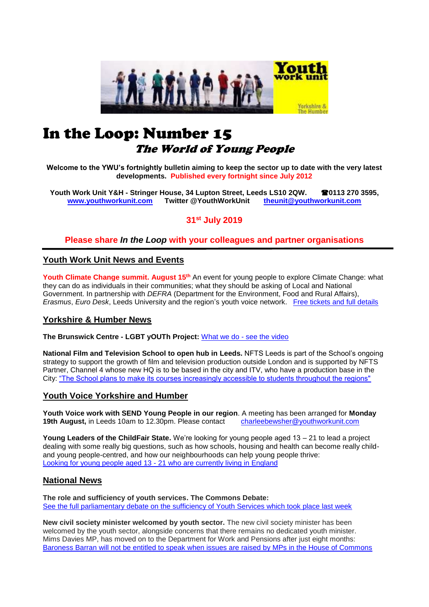

# In the Loop: Number 15 The World of Young People

**Welcome to the YWU's fortnightly bulletin aiming to keep the sector up to date with the very latest developments. Published every fortnight since July 2012**

**Youth Work Unit Y&H - Stringer House, 34 Lupton Street, Leeds LS10 2QW. 0113 270 3595, [www.youthworkunit.com](http://www.youthworkunit.com/) Twitter @YouthWorkUnit [theunit@youthworkunit.com](mailto:theunit@youthworkunit.com)**

**31st July 2019**

## **Please share** *In the Loop* **with your colleagues and partner organisations**

## **Youth Work Unit News and Events**

Youth Climate Change summit. August 15<sup>th</sup> An event for young people to explore Climate Change: what they can do as individuals in their communities; what they should be asking of Local and National Government. In partnership with *DEFRA* (Department for the Environment, Food and Rural Affairs), *Erasmus*, *Euro Desk*, Leeds University and the region's youth voice network. [Free tickets and full details](https://www.eventbrite.co.uk/e/youth-climate-change-summit-tickets-65246931328)

## **Yorkshire & Humber News**

**The Brunswick Centre - LGBT yOUTh Project:** What we do - [see the video](https://www.youtube.com/watch?v=zWBV_xmtrwY)

**National Film and Television School to open hub in Leeds.** NFTS Leeds is part of the School's ongoing strategy to support the growth of film and television production outside London and is supported by NFTS Partner, Channel 4 whose new HQ is to be based in the city and ITV, who have a production base in the City: ["The School plans to make its courses increasingly accessible to students throughout the regions"](https://www.itv.com/presscentre/press-releases/national-film-and-television-school-open-hub-leeds)

## **Youth Voice Yorkshire and Humber**

**Youth Voice work with SEND Young People in our region**. A meeting has been arranged for **Monday 19th August,** in Leeds 10am to 12.30pm. Please contact [charleebewsher@youthworkunit.com](mailto:charleebewsher@youthworkunit.com)

**Young Leaders of the ChildFair State.** We're looking for young people aged 13 – 21 to lead a project dealing with some really big questions, such as how schools, housing and health can become really childand young people-centred, and how our neighbourhoods can help young people thrive: Looking for young people aged 13 - [21 who are currently living in England](https://www.childrenengland.org.uk/childfairstate-youngleaders)

## **National News**

**The role and sufficiency of youth services. The Commons Debate:** [See the full parliamentary debate on the sufficiency of Youth Services which took place last week](https://t.co/K9lDaxDc1w)

**New civil society minister welcomed by youth sector.** The new civil society minister has been welcomed by the youth sector, alongside concerns that there remains no dedicated youth minister. Mims Davies MP, has moved on to the Department for Work and Pensions after just eight months: [Baroness Barran will not be entitled to speak when issues are raised by MPs in the House of Commons](https://www.cypnow.co.uk/cyp/news/2006990/new-civil-society-minister-welcomed-by-youth-sector)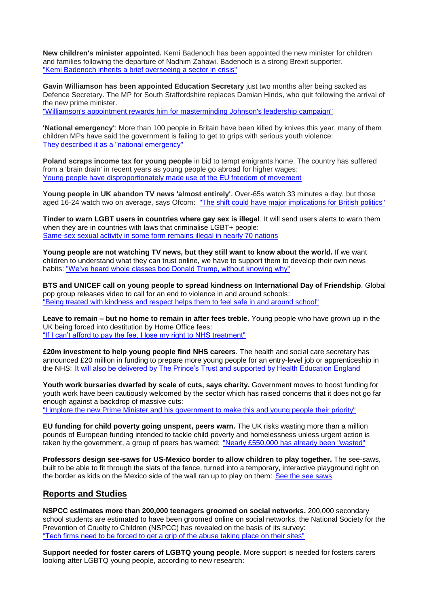**New children's minister appointed.** Kemi Badenoch has been appointed the new minister for children and families following the departure of Nadhim Zahawi. Badenoch is a strong Brexit supporter. ["Kemi Badenoch inherits a brief overseeing a sector in crisis"](https://www.cypnow.co.uk/cyp/news/2006974/new-childrens-minister-appointed)

**Gavin Williamson has been appointed Education Secretary** just two months after being sacked as Defence Secretary. The MP for South Staffordshire replaces Damian Hinds, who quit following the arrival of the new prime minister.

["Williamson's appointment rewards him for masterminding Johnson's leadership campaign"](https://www.cypnow.co.uk/cyp/news/2006934/hinds-resigns-as-education-secretary)

**'National emergency'**: More than 100 people in Britain have been killed by knives this year, many of them children MPs have said the government is failing to get to grips with serious youth violence: [They described it as a "national emergency"](https://www.theguardian.com/uk-news/2019/jul/31/national-emergency-young-people-killed-by-knives-in-2019)

**Poland scraps income tax for young people** in bid to tempt emigrants home. The country has suffered from a 'brain drain' in recent years as young people go abroad for higher wages: [Young people have disproportionately made use of the EU freedom of movement](https://www.independent.co.uk/news/world/europe/poland-income-tax-young-people-workers-eu-free-movement-a9027186.html) 

**Young people in UK abandon TV news 'almost entirely'**. Over-65s watch 33 minutes a day, but those aged 16-24 watch two on average, says Ofcom: ["The shift could have major implications for British politics"](https://www.theguardian.com/tv-and-radio/2019/jul/24/young-people-uk-abandon-tv-news-almost-entirely-ofcom?utm_term=Autofeed&CMP=twt_gu&utm_medium=&utm_source=Twitter#Echobox=1563992590)

**Tinder to warn LGBT users in countries where gay sex is illegal**. It will send users alerts to warn them when they are in countries with laws that criminalise LGBT+ people: [Same-sex sexual activity in some form remains illegal in nearly 70 nations](https://www.pinknews.co.uk/2019/07/25/tinder-lgbt-gay-sex-illegal/?utm_source=Twitter&utm_medium=Buffer&utm_campaign=PN)

**Young people are not watching TV news, but they still want to know about the world.** If we want children to understand what they can trust online, we have to support them to develop their own news habits: ["We've heard whole classes boo Donald Trump, without knowing why"](https://www.theguardian.com/commentisfree/2019/jul/26/young-people-tv-news-know-about-the-world-media)

**BTS and UNICEF call on young people to spread kindness on International Day of Friendship**. Global pop group releases video to call for an end to violence in and around schools: ["Being treated with kindness and respect helps them to feel safe in and around school"](https://www.unicef.org/press-releases/bts-and-unicef-call-young-people-spread-kindness-international-day-friendship)

**Leave to remain – but no home to remain in after fees treble**. Young people who have grown up in the UK being forced into destitution by Home Office fees: "If I can't afford to pay the fee, I lose my right to NHS treatment"

**£20m investment to help young people find NHS careers**. The health and social care secretary has announced £20 million in funding to prepare more young people for an entry-level job or apprenticeship in the NHS: [It will also be delivered by The Prince's Trust and supported by Health Education England](http://www.pharmatimes.com/news/20m_investment_to_help_young_people_find_nhs_careers_1295229)

**Youth work bursaries dwarfed by scale of cuts, says charity.** Government moves to boost funding for youth work have been cautiously welcomed by the sector which has raised concerns that it does not go far enough against a backdrop of massive cuts: ["I implore the new Prime Minister and his government to make this and young people their priority"](https://www.cypnow.co.uk/cyp/news/2006976/youth-work-bursaries-dwarfed-by-scale-of-cuts-says-charity)

**EU funding for child poverty going unspent, peers warn.** The UK risks wasting more than a million pounds of European funding intended to tackle child poverty and homelessness unless urgent action is taken by the government, a group of peers has warned: "Nearly £550,000 has already been "wasted"

**Professors design see-saws for US-Mexico border to allow children to play together.** The see-saws, built to be able to fit through the slats of the fence, turned into a temporary, interactive playground right on the border as kids on the Mexico side of the wall ran up to play on them: [See the see saws](https://abcnews.go.com/GMA/News/professors-design-saws-us-mexico-border-children-play/story?id=64653934&cid=social_twitter_abcn)

## **Reports and Studies**

**NSPCC estimates more than 200,000 teenagers groomed on social networks.** 200,000 secondary school students are estimated to have been groomed online on social networks, the National Society for the Prevention of Cruelty to Children (NSPCC) has revealed on the basis of its survey: "Tech firms need to be [forced to get a grip of the abuse taking place on their sites"](https://www.governmentcomputing.com/citizen-engagement/news/nspcc-grooming-survey)

**Support needed for foster carers of LGBTQ young people**. More support is needed for fosters carers looking after LGBTQ young people, according to new research: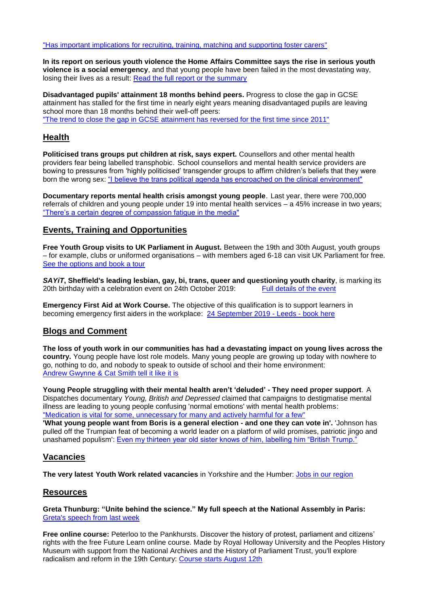["Has important implications for recruiting, training, matching and supporting foster carers"](https://phys.org/news/2019-07-foster-carers-lgbtq-young-people.html)

**In its report on serious youth violence the Home Affairs Committee says the rise in serious youth violence is a social emergency**, and that young people have been failed in the most devastating way, losing their lives as a result: [Read the full report or the summary](https://www.parliament.uk/business/committees/committees-a-z/commons-select/home-affairs-committee/news-parliament-2017/serious-youth-violence-report-published-17-191/)

**Disadvantaged pupils' attainment 18 months behind peers.** Progress to close the gap in GCSE attainment has stalled for the first time in nearly eight years meaning disadvantaged pupils are leaving school more than 18 months behind their well-off peers: ["The trend to close the gap in GCSE attainment has reversed for the first time since 2011"](https://www.cypnow.co.uk/cyp/news/2006985/disadvantaged-pupil-attainment-18-months-behind-peers)

## **Health**

**Politicised trans groups put children at risk, says expert.** Counsellors and other mental health providers fear being labelled transphobic. School counsellors and mental health service providers are bowing to pressures from 'highly politicised' transgender groups to affirm children's beliefs that they were born the wrong sex: ["I believe the trans political agenda has encroached on the clinical environment"](https://www.theguardian.com/society/2019/jul/27/trans-lobby-pressure-pushing-young-people-to-transition) 

**Documentary reports mental health crisis amongst young people**. Last year, there were 700,000 referrals of children and young people under 19 into mental health services – a 45% increase in two years; ["There's a certain degree of compassion fatigue in the media"](https://happiful.com/documentary-reports-mental-health-crisis-amongst-young-people/)

## **Events, Training and Opportunities**

**Free Youth Group visits to UK Parliament in August.** Between the 19th and 30th August, youth groups – for example, clubs or uniformed organisations – with members aged 6-18 can visit UK Parliament for free. [See the options and book a tour](https://ukparliament.seetickets.com/content/ticket-options?src=Discover_Summer_phase2&utm_source=YUKP&utm_medium=email&utm_campaign=Discover_Summer_phase2&utm_source=UK+Parliament+Education+and+Engagement&utm_campaign=4228be6dbb-EMAIL_CAMPAIGN_2018_06_18_01_28_COPY_01&utm_medium=email&utm_term=0_26d0645ea9-4228be6dbb-102594257&mc_cid=4228be6dbb&mc_eid=c6d3958b89)

**SAYiT**, Sheffield's leading lesbian, gay, bi, trans, queer and questioning youth charity, is marking its 20th birthday with a celebration event on 24th October 2019: Full details of the event 20th birthday with a celebration event on 24th October 2019:

**Emergency First Aid at Work Course.** The objective of this qualification is to support learners in becoming emergency first aiders in the workplace: [24 September 2019 -](https://www.eventbrite.co.uk/e/emergency-first-aid-at-work-tickets-65911698665?ref=enivtefor001&invite=MTY5NjcxMjcvcGF0cmlja2FtYnJvc2VAeW91dGh3b3JrdW5pdC5jb20vMA%3D%3D%0A&utm_source=eb_email&utm_medium=email&utm_campaign=inviteformalv2&utm_term=attend) Leeds - book here

# **Blogs and Comment**

**The loss of youth work in our communities has had a devastating impact on young lives across the country.** Young people have lost role models. Many young people are growing up today with nowhere to go, nothing to do, and nobody to speak to outside of school and their home environment: [Andrew Gwynne & Cat Smith tell it like it is](https://labourlist.org/2019/07/our-responsibility-to-young-people-does-not-end-at-the-school-gates/)

**Young People struggling with their mental health aren't 'deluded' - They need proper support**. A Dispatches documentary *Young, British and Depressed* claimed that campaigns to destigmatise mental illness are leading to young people confusing 'normal emotions' with mental health problems: ["Medication is vital for some, unnecessary for many and actively harmful for a few"](https://graziadaily.co.uk/life/in-the-news/despatches-young-people-mental-health/) 

**'What young people want from Boris is a general election - and one they can vote in'.** 'Johnson has pulled off the Trumpian feat of becoming a world leader on a platform of wild promises, patriotic jingo and unashamed populism': [Even my thirteen year old sister knows of him, labelling him "British Trump."](https://www.mirror.co.uk/news/politics/what-young-people-want-boris-18770567) 

# **Vacancies**

**The very latest Youth Work related vacancies** in Yorkshire and the Humber: [Jobs in our region](https://www.indeed.co.uk/Youth-Worker-jobs-in-Yorkshire-and-Humberside)

## **Resources**

**Greta Thunburg: "Unite behind the science." My full speech at the National Assembly in Paris:** [Greta's speech from last week](https://www.facebook.com/watch/?v=2412771489046644)

**Free online course:** Peterloo to the Pankhursts. Discover the history of protest, parliament and citizens' rights with the free Future Learn online course. Made by Royal Holloway University and the Peoples History Museum with support from the National Archives and the History of Parliament Trust, you'll explore radicalism and reform in the 19th Century: [Course starts August 12th](https://parliament.us16.list-manage.com/track/click?u=3ad7e4c57a864f07e4db008c4&id=b49bb31f57&e=c6d3958b89)